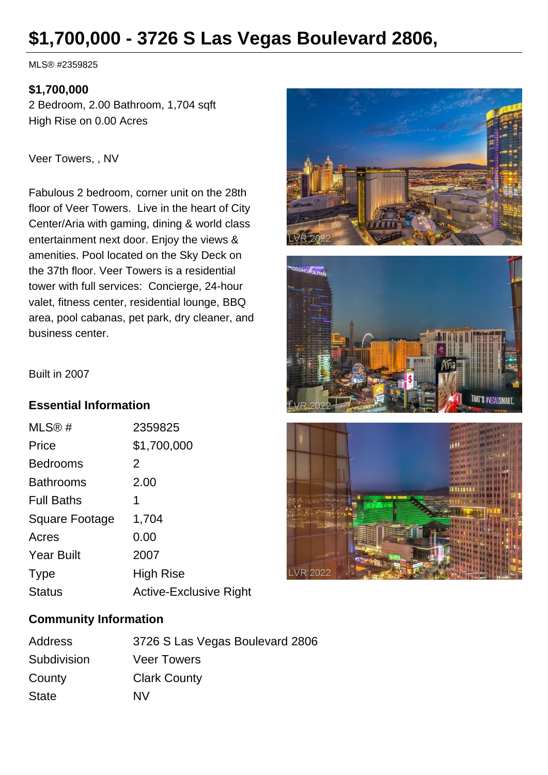# **\$1,700,000 - 3726 S Las Vegas Boulevard 2806,**

MLS® #2359825

#### **\$1,700,000**

2 Bedroom, 2.00 Bathroom, 1,704 sqft High Rise on 0.00 Acres

Veer Towers, , NV

Fabulous 2 bedroom, corner unit on the 28th floor of Veer Towers. Live in the heart of City Center/Aria with gaming, dining & world class entertainment next door. Enjoy the views & amenities. Pool located on the Sky Deck on the 37th floor. Veer Towers is a residential tower with full services: Concierge, 24-hour valet, fitness center, residential lounge, BBQ area, pool cabanas, pet park, dry cleaner, and business center.







#### Built in 2007

# **Essential Information**

| MLS@#                 | 2359825                       |
|-----------------------|-------------------------------|
| Price                 | \$1,700,000                   |
| <b>Bedrooms</b>       | 2                             |
| <b>Bathrooms</b>      | 2.00                          |
| <b>Full Baths</b>     | 1                             |
| <b>Square Footage</b> | 1,704                         |
| Acres                 | 0.00                          |
| <b>Year Built</b>     | 2007                          |
| <b>Type</b>           | <b>High Rise</b>              |
| <b>Status</b>         | <b>Active-Exclusive Right</b> |

#### **Community Information**

| Address      | 3726 S Las Vegas Boulevard 2806 |
|--------------|---------------------------------|
| Subdivision  | <b>Veer Towers</b>              |
| County       | <b>Clark County</b>             |
| <b>State</b> | NV.                             |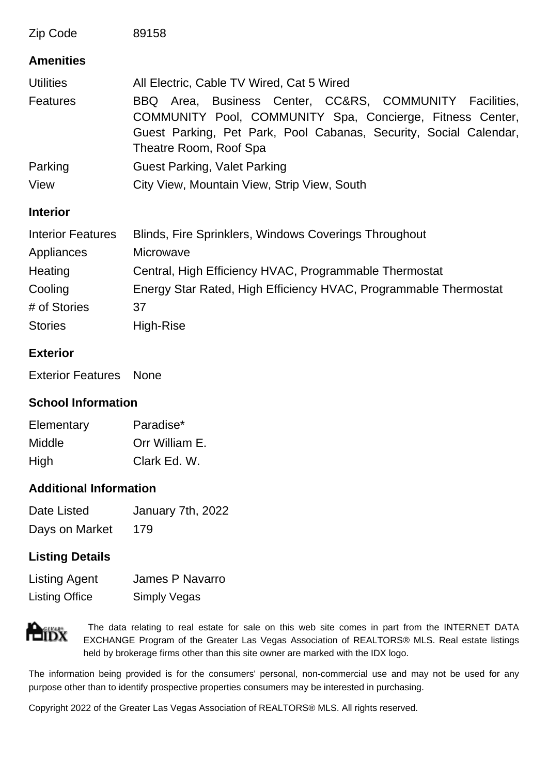| Zip Code                 | 89158                                                                                                                                                                                                               |
|--------------------------|---------------------------------------------------------------------------------------------------------------------------------------------------------------------------------------------------------------------|
| <b>Amenities</b>         |                                                                                                                                                                                                                     |
| <b>Utilities</b>         | All Electric, Cable TV Wired, Cat 5 Wired                                                                                                                                                                           |
| <b>Features</b>          | BBQ Area, Business Center, CC&RS, COMMUNITY Facilities,<br>COMMUNITY Pool, COMMUNITY Spa, Concierge, Fitness Center,<br>Guest Parking, Pet Park, Pool Cabanas, Security, Social Calendar,<br>Theatre Room, Roof Spa |
| Parking                  | <b>Guest Parking, Valet Parking</b>                                                                                                                                                                                 |
| View                     | City View, Mountain View, Strip View, South                                                                                                                                                                         |
| <b>Interior</b>          |                                                                                                                                                                                                                     |
| <b>Interior Features</b> | Blinds, Fire Sprinklers, Windows Coverings Throughout                                                                                                                                                               |
| Appliances               | Microwave                                                                                                                                                                                                           |
| Heating                  | Central, High Efficiency HVAC, Programmable Thermostat                                                                                                                                                              |
| Cooling                  | Energy Star Rated, High Efficiency HVAC, Programmable Thermostat                                                                                                                                                    |
| # of Stories             | 37                                                                                                                                                                                                                  |
| <b>Stories</b>           | High-Rise                                                                                                                                                                                                           |

# **Exterior**

Exterior Features None

# **School Information**

| Elementary | Paradise*      |
|------------|----------------|
| Middle     | Orr William E. |
| High       | Clark Ed. W.   |

# **Additional Information**

| Date Listed    | January 7th, 2022 |
|----------------|-------------------|
| Days on Market | 179               |

# **Listing Details**

| <b>Listing Agent</b>  | James P Navarro |
|-----------------------|-----------------|
| <b>Listing Office</b> | Simply Vegas    |



 The data relating to real estate for sale on this web site comes in part from the INTERNET DATA EXCHANGE Program of the Greater Las Vegas Association of REALTORS® MLS. Real estate listings held by brokerage firms other than this site owner are marked with the IDX logo.

The information being provided is for the consumers' personal, non-commercial use and may not be used for any purpose other than to identify prospective properties consumers may be interested in purchasing.

Copyright 2022 of the Greater Las Vegas Association of REALTORS® MLS. All rights reserved.